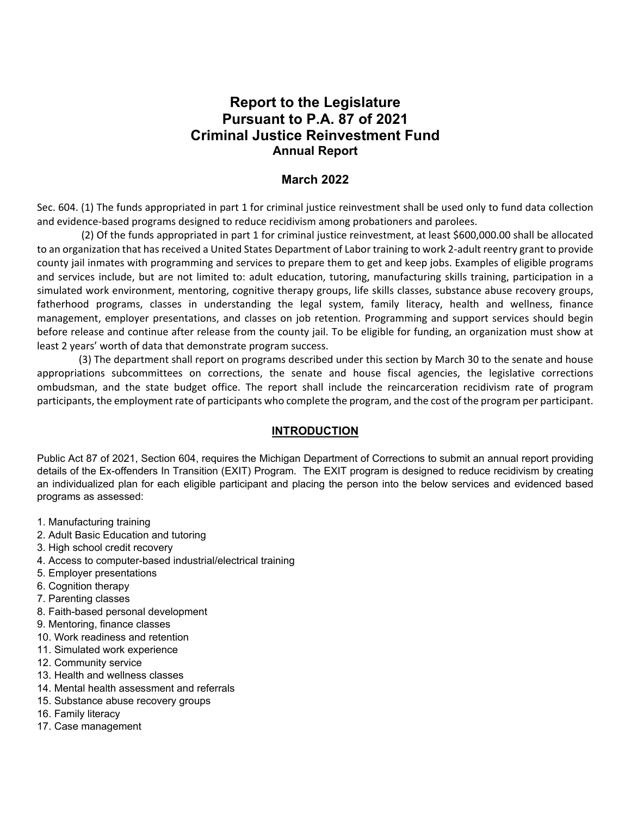# **Report to the Legislature Pursuant to P.A. 87 of 2021 Criminal Justice Reinvestment Fund Annual Report**

## **March 2022**

Sec. 604. (1) The funds appropriated in part 1 for criminal justice reinvestment shall be used only to fund data collection and evidence-based programs designed to reduce recidivism among probationers and parolees.

(2) Of the funds appropriated in part 1 for criminal justice reinvestment, at least \$600,000.00 shall be allocated to an organization that has received a United States Department of Labor training to work 2-adult reentry grant to provide county jail inmates with programming and services to prepare them to get and keep jobs. Examples of eligible programs and services include, but are not limited to: adult education, tutoring, manufacturing skills training, participation in a simulated work environment, mentoring, cognitive therapy groups, life skills classes, substance abuse recovery groups, fatherhood programs, classes in understanding the legal system, family literacy, health and wellness, finance management, employer presentations, and classes on job retention. Programming and support services should begin before release and continue after release from the county jail. To be eligible for funding, an organization must show at least 2 years' worth of data that demonstrate program success.

(3) The department shall report on programs described under this section by March 30 to the senate and house appropriations subcommittees on corrections, the senate and house fiscal agencies, the legislative corrections ombudsman, and the state budget office. The report shall include the reincarceration recidivism rate of program participants, the employment rate of participants who complete the program, and the cost of the program per participant.

### **INTRODUCTION**

Public Act 87 of 2021, Section 604, requires the Michigan Department of Corrections to submit an annual report providing details of the Ex-offenders In Transition (EXIT) Program. The EXIT program is designed to reduce recidivism by creating an individualized plan for each eligible participant and placing the person into the below services and evidenced based programs as assessed:

- 1. Manufacturing training
- 2. Adult Basic Education and tutoring
- 3. High school credit recovery
- 4. Access to computer-based industrial/electrical training
- 5. Employer presentations
- 6. Cognition therapy
- 7. Parenting classes
- 8. Faith-based personal development
- 9. Mentoring, finance classes
- 10. Work readiness and retention
- 11. Simulated work experience
- 12. Community service
- 13. Health and wellness classes
- 14. Mental health assessment and referrals
- 15. Substance abuse recovery groups
- 16. Family literacy
- 17. Case management